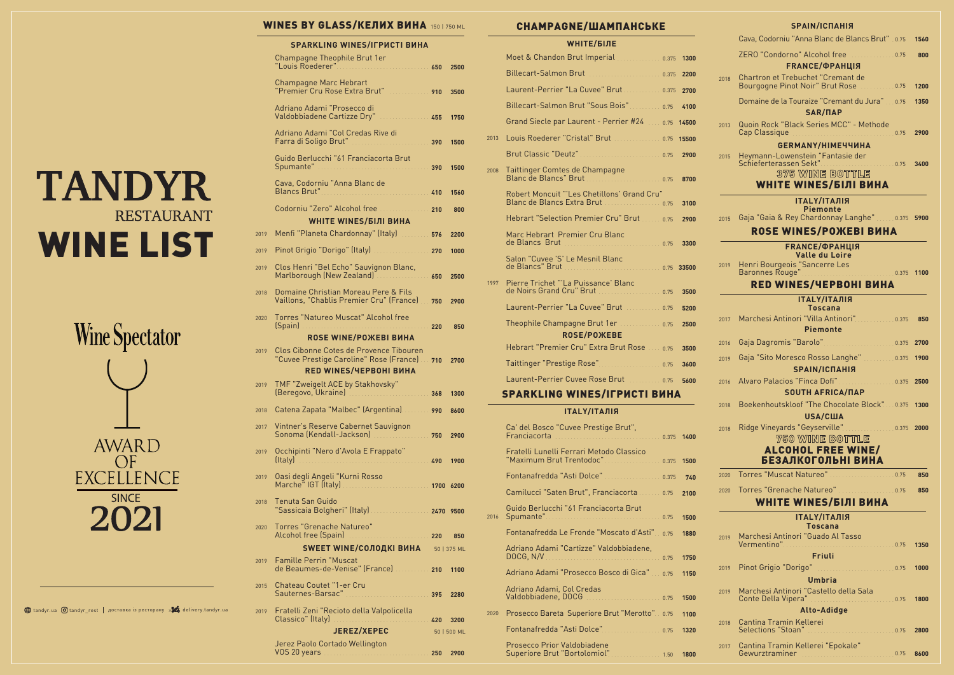# **TANDYR RESTAURANT** WINE LIST



#### **WINES BY GLASS/КЕЛИХ ВИНА 150 | 750 ML**

#### **SPARKLING WINES/ІГРИСТІ ВИНА**

2020 Prosecco Bareta Superiore Brut "Merotto". 0.75 1100 Fontanafredda "Asti Dolce" Prosecco Prior Valdobiadene 0.75 **1320**

|      | Champagne Theophile Brut 1er<br>"Louis Roederer"                                                                                                                                                                                                                            |     | 2500        |
|------|-----------------------------------------------------------------------------------------------------------------------------------------------------------------------------------------------------------------------------------------------------------------------------|-----|-------------|
|      | <b>Champagne Marc Hebrart</b><br>"Premier Cru Rose Extra Brut" [1986] [1986]                                                                                                                                                                                                |     | 3500        |
|      | Adriano Adami "Prosecco di<br>Valdobbiadene Cartizze Dry"<br>. 455                                                                                                                                                                                                          |     | 1750        |
|      | Adriano Adami "Col Credas Rive di<br>Farra di Soligo Brut"  390                                                                                                                                                                                                             |     | 1500        |
|      | Guido Berlucchi "61 Franciacorta Brut<br>Spumante" Martin March 1990                                                                                                                                                                                                        |     | 1500        |
|      | Cava, Codorniu "Anna Blanc de                                                                                                                                                                                                                                               |     | 1560        |
|      | Codorniu "Zero" Alcohol free  210                                                                                                                                                                                                                                           |     | 800         |
|      | <b>WHITE WINES/БІЛІ ВИНА</b>                                                                                                                                                                                                                                                |     |             |
| 2019 | Menfi "Planeta Chardonnay" (Italy) [11, 11, 11, 1576]                                                                                                                                                                                                                       |     | 2200        |
| 2019 | Pinot Grigio "Dorigo" (Italy) [19] Pinot Grigio "Dorigo" (Italy)                                                                                                                                                                                                            |     | 1000        |
| 2019 | Clos Henri "Bel Echo" Sauvignon Blanc,<br>Marlborough (New Zealand) Marlborough 650                                                                                                                                                                                         |     | 2500        |
| 2018 | Domaine Christian Moreau Pere & Fils<br>Vaillons, "Chablis Premier Cru" (France)  750                                                                                                                                                                                       |     | 2900        |
| 2020 | Torres "Natureo Muscat" Alcohol free<br>(Spain)                                                                                                                                                                                                                             | 220 | 850         |
|      | <b>ROSE WINE/POЖEBI ВИНА</b>                                                                                                                                                                                                                                                |     |             |
| 2019 | Clos Cibonne Cotes de Provence Tibouren<br>"Cuvee Prestige Caroline" Rose (France)  710<br><b>RED WINES/ЧЕРВОНІ ВИНА</b>                                                                                                                                                    |     | 2700        |
| 2019 | TMF "Zweigelt ACE by Stakhovsky"<br>(Beregovo, Ukraine)<br>. 368                                                                                                                                                                                                            |     | 1300        |
| 2018 | Catena Zapata "Malbec" (Argentina) [11] 1990                                                                                                                                                                                                                                |     | 8600        |
|      | 2017 Vintner's Reserve Cabernet Sauvignon<br>Sonoma (Kendall-Jackson) [1991] [1991] [1991] [1991] [1991] [1991] [1991] [1991] [1991] [1991] [1991] [1991] [1991] [1991] [1991] [1991] [1991] [1991] [1991] [1991] [1991] [1991] [1991] [1991] [1991] [1991] [1991] [1991] [ |     | 2900        |
| 2019 | Occhipinti "Nero d'Avola E Frappato"                                                                                                                                                                                                                                        |     | 1900        |
| 2019 | Oasi degli Angeli "Kurni Rosso<br>Marche" IGT (Italy)                                                                                                                                                                                                                       |     |             |
| 2018 | <b>Tenuta San Guido</b><br>"Sassicaia Bolgheri" (Italy) [1991] [1992] [1992] [1992] [1992] [1992] [1992] [1992] [1992] [1992] [1992] [1992] [1992] [1992] [1992] [1992] [1992] [1992] [1992] [1992] [1992] [1992] [1992] [1992] [1992] [1992] [1992] [199                   |     |             |
| 2020 | <b>Torres "Grenache Natureo"</b>                                                                                                                                                                                                                                            |     |             |
|      | <b>SWEET WINE/COЛОДКІ ВИНА</b> 50   375 ML                                                                                                                                                                                                                                  |     |             |
| 2019 | <b>Famille Perrin "Muscat</b><br>de Beaumes-de-Venise" (France) [1100] 210 1100                                                                                                                                                                                             |     |             |
| 2015 | Chateau Coutet "1-er Cru<br>Sauternes-Barsac" Martin March 1995                                                                                                                                                                                                             |     | 2280        |
| 2019 | Fratelli Zeni "Recioto della Valpolicella<br>Classico" (Italy)<br>420                                                                                                                                                                                                       |     | 3200        |
|      | <b>JEREZ/XEPEC</b>                                                                                                                                                                                                                                                          |     | 50   500 ML |
|      | Jerez Paolo Cortado Wellington<br>VOS 20 years <b>Manual Manual According to 250</b>                                                                                                                                                                                        |     | 2900        |

Superiore Brut "Bortolomiol"

#### **the tandyr.ua O** tandyr\_rest | доставка із ресторану  $\frac{1}{2}$  delivery.tandyr.ua

Adriano Adami "Prosecco Bosco di Gica" Adriano Adami, Col Credas Valdobbiadene, DOCG ......................... 0.75 **1150** 0.75 **1500**

|      | VIII I L <i>i</i> Dijil                                       |      |       |
|------|---------------------------------------------------------------|------|-------|
|      | Moet & Chandon Brut Imperial [1111] 0.375                     |      | 1300  |
|      |                                                               |      | 2200  |
|      | Laurent-Perrier "La Cuvee" Brut [11] [11] 0.375               |      | 2700  |
|      | Billecart-Salmon Brut "Sous Bois" 0.75                        |      | 4100  |
|      | Grand Siecle par Laurent - Perrier #24  0.75                  |      | 14500 |
| 2013 | Louis Roederer "Cristal" Brut [11] [11] [12] D.75             |      | 15500 |
|      |                                                               |      | 2900  |
| 2008 | Taittinger Comtes de Champagne                                |      | 8700  |
|      | Robert Moncuit "'Les Chetillons' Grand Cru"                   |      | 3100  |
|      | Hebrart "Selection Premier Cru" Brut 20000075                 |      | 2900  |
|      | Marc Hebrart Premier Cru Blanc                                |      | 3300  |
|      | Salon "Cuvee 'S' Le Mesnil Blanc                              |      | 33500 |
| 1997 | Pierre Trichet "'La Puissance' Blanc                          |      | 3500  |
|      |                                                               |      | 5200  |
|      | Theophile Champagne Brut 1er  0.75<br><b>ROSE/POЖEBE</b>      |      | 2500  |
|      | Hebrart "Premier Cru" Extra Brut Rose  0.75                   |      | 3500  |
|      | Taittinger "Prestige Rose" 0.75                               |      | 3600  |
|      | Laurent-Perrier Cuvee Rose Brut                               |      | 5600  |
|      | <b>SPARKLING WINES/IFPUCTI BUHA</b>                           |      |       |
|      | <b>ІТАLY/ІТАЛІЯ</b>                                           |      |       |
|      | Ca' del Bosco "Cuvee Prestige Brut",<br>Franciacorta<br>0.375 |      | 1400  |
|      | Fratelli Lunelli Ferrari Metodo Classico                      |      | 1500  |
|      | Fontanafredda "Asti Dolce" [111] [11] Dolca Parameter 2.375   |      | 740   |
|      | Camilucci "Saten Brut", Franciacorta  0.75                    |      | 2100  |
| 2016 | Guido Berlucchi "61 Franciacorta Brut                         |      | 1500  |
|      | Fontanafredda Le Fronde "Moscato d'Asti" 0.75                 |      | 1880  |
|      | Adriano Adami "Cartizze" Valdobbiadene,<br>DOCG, N/V          | 0.75 | 1750  |

#### CHAMPAGNE/ШАМПАНСЬКЕ

| <b>NE/ШАМПАНСЬКЕ</b>                            |        |      |      | SPAIN/ICNAHIЯ                                                                                       |      |
|-------------------------------------------------|--------|------|------|-----------------------------------------------------------------------------------------------------|------|
| <b>WHITE/БІЛЕ</b>                               |        |      |      | Cava, Codorniu "Anna Blanc de Blancs Brut" 0.75                                                     | 1560 |
| Brut Imperial  0.375 1300                       |        |      |      | ZERO "Condorno" Alcohol free                                                                        | 800  |
| Brut  0.375 2200                                |        |      |      | <b>FRANCE/ФРАНЦІЯ</b><br>Chartron et Trebuchet "Cremant de                                          |      |
| La Cuvee" Brut  0.375 2700                      |        |      | 2018 | Bourgogne Pinot Noir" Brut Rose  0.75                                                               | 1200 |
| Brut "Sous Bois" 0.75                           |        | 4100 |      | Domaine de la Touraize "Cremant du Jura" 0.75<br>SAR/NAP                                            | 1350 |
| Laurent - Perrier #24  0.75 14500               |        |      | 2013 | Quoin Rock "Black Series MCC" - Methode                                                             |      |
| Cristal" Brut  0.75 15500                       |        |      |      |                                                                                                     | 2900 |
|                                                 |        | 2900 | 2015 | GERMANY/HIME44UHA<br>Heymann-Lowenstein "Fantasie der                                               |      |
| s de Champagne                                  |        | 8700 |      | Schieferterassen Sekt"<br>Schieferterassen Sekt"<br>375 WINE BOTTLE<br><b>WHITE WINES/БІЛІ ВИНА</b> | 3400 |
| 'Les Chetillons' Grand Cru"<br>Extra Brut  0.75 |        | 3100 |      | <b>ІТАLY/ІТАЛІЯ</b><br><b>Piemonte</b>                                                              |      |
| n Premier Cru" Brut  0.75                       |        | 2900 | 2015 | Gaja "Gaia & Rey Chardonnay Langhe"  0.375 5900                                                     |      |
| emier Cru Blanc                                 |        |      |      | <b>ROSE WINES/POЖEBI ВИНА</b>                                                                       |      |
| 0.75                                            |        | 3300 |      | <b>FRANCE/ФРАНЦІЯ</b><br><b>Valle du Loire</b>                                                      |      |
| Le Mesnil Blanc<br>0.75 33500                   |        |      |      |                                                                                                     |      |
| a Puissance' Blanc                              |        |      |      | <b>RED WINES/ЧЕРВОНІ ВИНА</b>                                                                       |      |
| ru" Brut 0.75                                   |        | 3500 |      | <b>ІТАLY/ІТАЛІЯ</b>                                                                                 |      |
| La Cuvee" Brut  0.75                            |        | 5200 |      | <b>Toscana</b>                                                                                      |      |
| agne Brut 1er  0.75<br><b>OSE/POЖEBE</b>        |        | 2500 | 2017 | Marchesi Antinori "Villa Antinori" 0.375<br><b>Piemonte</b>                                         | 850  |
| Cru" Extra Brut Rose  0.75                      |        | 3500 | 2016 |                                                                                                     |      |
|                                                 |        | 3600 | 2019 | Gaja "Sito Moresco Rosso Langhe" 0.375 1900<br>SPAIN/ICNAHIЯ                                        |      |
|                                                 |        |      | 2016 | Alvaro Palacios "Finca Dofi" 0.375 2500                                                             |      |
| WINES/IГРИСТІ ВИНА                              |        |      |      | <b>SOUTH AFRICA/NAP</b>                                                                             |      |
| <b>ТАLY/ІТАЛІЯ</b>                              |        |      | 2018 | Boekenhoutskloof "The Chocolate Block" 0.375 1300<br><b>USA/США</b>                                 |      |
| ivee Prestige Brut",                            |        |      | 2018 | Ridge Vineyards "Geyserville" Martin 19975 2000                                                     |      |
| 0.375 1400                                      |        |      |      | 750 WINE BOTTLE<br><b>ALCOHOL FREE WINE/</b>                                                        |      |
| errari Metodo Classico<br>Frentodoc" 0.375 1500 |        |      |      | БЕЗАЛКОГОЛЬНІ ВИНА                                                                                  |      |
| sti Dolce" 0.375                                |        | 740  | 2020 | Torres "Muscat Natureo" Maria 1999                                                                  | 850  |
| Brut", Franciacorta  0.75                       |        | 2100 | 2020 |                                                                                                     | 850  |
| 61 Franciacorta Brut                            |        |      |      | <b>WHITE WINES/БІЛІ ВИНА</b>                                                                        |      |
|                                                 |        | 1500 |      | ΙΤΑLΥ/ΙΤΑЛΙЯ                                                                                        |      |
| Fronde "Moscato d'Asti" 0.75                    |        | 1880 | 2019 | <b>Toscana</b><br>Marchesi Antinori "Guado Al Tasso                                                 |      |
| artizze" Valdobbiadene,                         |        |      |      | Friuli                                                                                              | 1350 |
| 0.75                                            |        | 1750 | 2019 |                                                                                                     | 1000 |
| Prosecco Bosco di Gica" 10.75                   |        | 1150 |      | <b>Umbria</b>                                                                                       |      |
| ol Credas                                       |        | 1500 | 2019 | Marchesi Antinori "Castello della Sala                                                              | 1800 |
| Superiore Brut "Merotto". 0.75                  |        | 1100 |      | Alto-Adidge                                                                                         |      |
| sti Dolce". 0.75                                |        | 1320 | 2018 | Cantina Tramin Kellerei                                                                             | 2800 |
| aldobiadene<br>Bortolomiol"<br>.                | . 1.50 | 1800 | 2017 | Cantina Tramin Kellerei "Epokale"<br>Gewurztraminer<br>0.75                                         | 8600 |